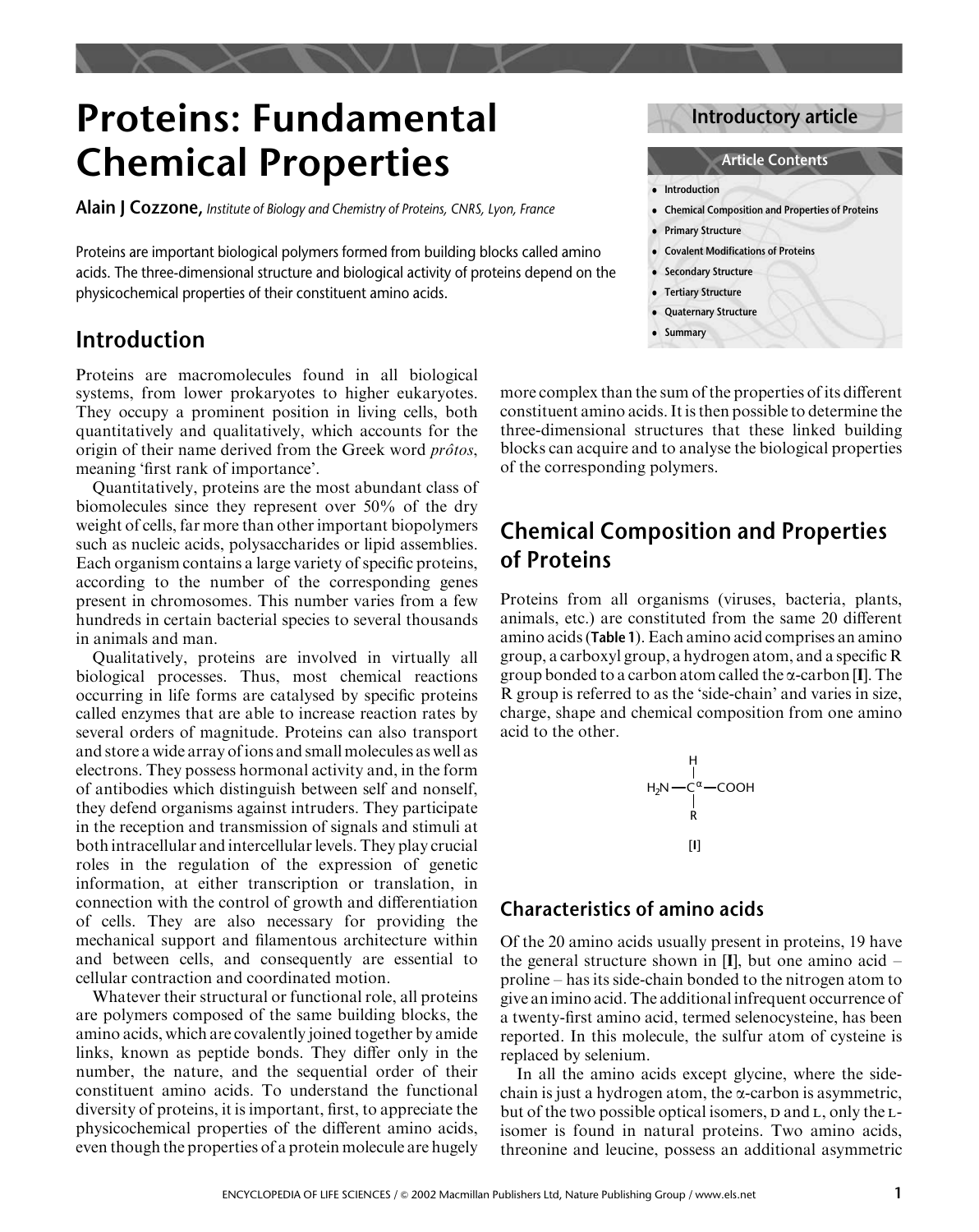# Proteins: Fundamental Chemical Properties

Alain J Cozzone, Institute of Biology and Chemistry of Proteins, CNRS, Lyon, France

Proteins are important biological polymers formed from building blocks called amino acids. The three-dimensional structure and biological activity of proteins depend on the physicochemical properties of their constituent amino acids.

# Introduction

Proteins are macromolecules found in all biological systems, from lower prokaryotes to higher eukaryotes. They occupy a prominent position in living cells, both quantitatively and qualitatively, which accounts for the origin of their name derived from the Greek word  $prôtos$ , meaning 'first rank of importance'.

Quantitatively, proteins are the most abundant class of biomolecules since they represent over 50% of the dry weight of cells, far more than other important biopolymers such as nucleic acids, polysaccharides or lipid assemblies. Each organism contains a large variety of specific proteins, according to the number of the corresponding genes present in chromosomes. This number varies from a few hundreds in certain bacterial species to several thousands in animals and man.

Qualitatively, proteins are involved in virtually all biological processes. Thus, most chemical reactions occurring in life forms are catalysed by specific proteins called enzymes that are able to increase reaction rates by several orders of magnitude. Proteins can also transport and store a wide array of ions and small molecules as well as electrons. They possess hormonal activity and, in the form of antibodies which distinguish between self and nonself, they defend organisms against intruders. They participate in the reception and transmission of signals and stimuli at both intracellular and intercellular levels. They play crucial roles in the regulation of the expression of genetic information, at either transcription or translation, in connection with the control of growth and differentiation of cells. They are also necessary for providing the mechanical support and filamentous architecture within and between cells, and consequently are essential to cellular contraction and coordinated motion.

Whatever their structural or functional role, all proteins are polymers composed of the same building blocks, the amino acids, which are covalently joined together by amide links, known as peptide bonds. They differ only in the number, the nature, and the sequential order of their constituent amino acids. To understand the functional diversity of proteins, it is important, first, to appreciate the physicochemical properties of the different amino acids, even though the properties of a protein molecule are hugely



more complex than the sum of the properties of its different constituent amino acids. It is then possible to determine the three-dimensional structures that these linked building blocks can acquire and to analyse the biological properties of the corresponding polymers.

# Chemical Composition and Properties of Proteins

Proteins from all organisms (viruses, bacteria, plants, animals, etc.) are constituted from the same 20 different amino acids (Table 1). Each amino acid comprises an amino group, a carboxyl group, a hydrogen atom, and a specific R group bonded to a carbon atom called the  $\alpha$ -carbon [I]. The R group is referred to as the 'side-chain' and varies in size, charge, shape and chemical composition from one amino acid to the other.



## Characteristics of amino acids

Of the 20 amino acids usually present in proteins, 19 have the general structure shown in  $[I]$ , but one amino acid – proline – has its side-chain bonded to the nitrogen atom to give an imino acid. The additional infrequent occurrence of a twenty-first amino acid, termed selenocysteine, has been reported. In this molecule, the sulfur atom of cysteine is replaced by selenium.

In all the amino acids except glycine, where the sidechain is just a hydrogen atom, the  $\alpha$ -carbon is asymmetric, but of the two possible optical isomers, p and L, only the Lisomer is found in natural proteins. Two amino acids, threonine and leucine, possess an additional asymmetric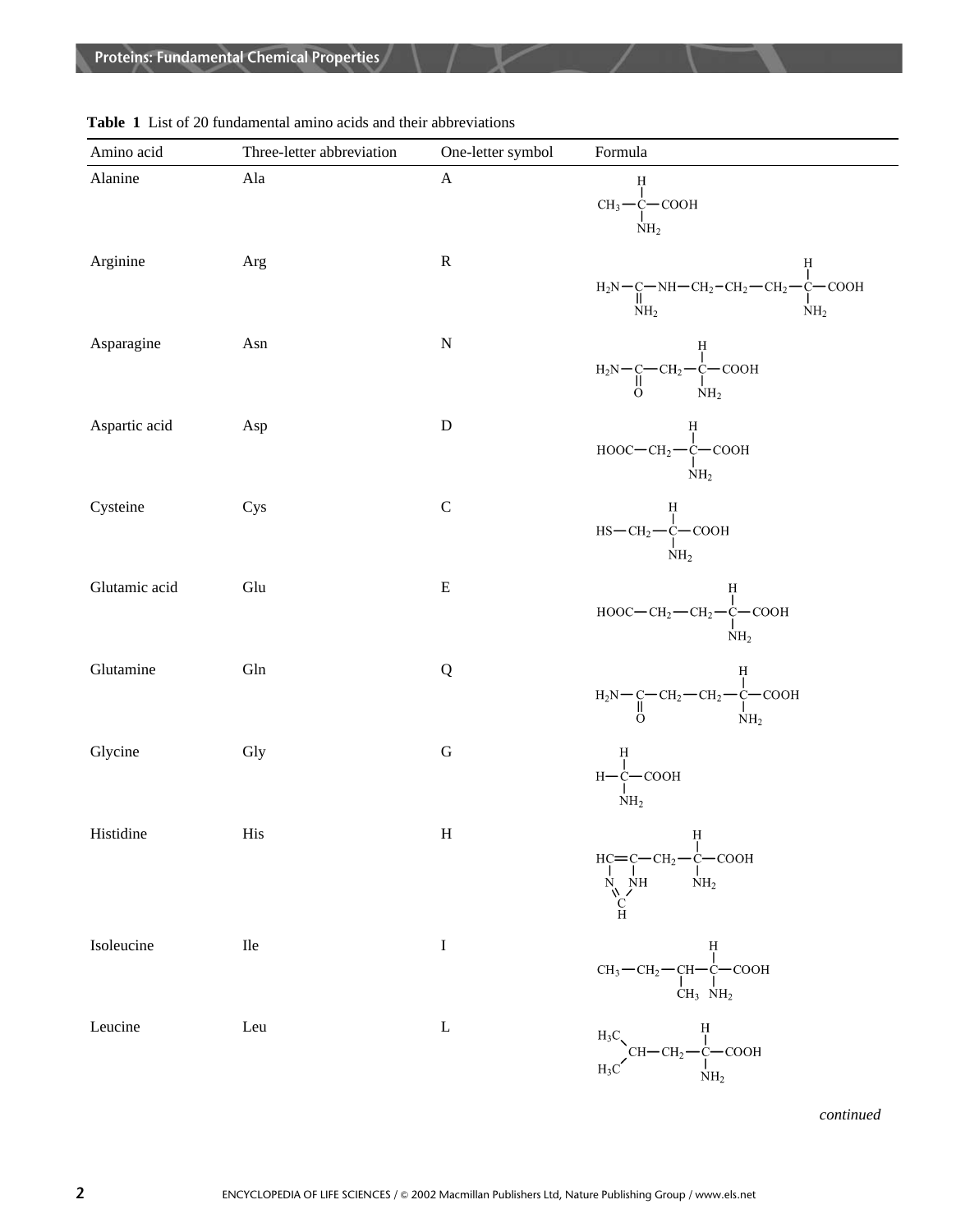| Amino acid    | Three-letter abbreviation | One-letter symbol | Formula                                                                                                                                                                                                                                                                                                                                              |
|---------------|---------------------------|-------------------|------------------------------------------------------------------------------------------------------------------------------------------------------------------------------------------------------------------------------------------------------------------------------------------------------------------------------------------------------|
| Alanine       | Ala                       | A                 | Η                                                                                                                                                                                                                                                                                                                                                    |
|               |                           |                   | $CH_3$ - $\frac{1}{1}$ - COOH<br>NH <sub>2</sub>                                                                                                                                                                                                                                                                                                     |
| Arginine      | Arg                       | $\mathbb R$       |                                                                                                                                                                                                                                                                                                                                                      |
|               |                           |                   | $\substack{\text{H$_2$N$}-\text{C$}-\text{NH}$-}\text{CH$_2$}-\text{CH$_2$}-\text{CH$_2$}-\text{C$}-\text{COOH}\\ \text{NH$_2$}\\\text{NH$_2$}$                                                                                                                                                                                                      |
|               |                           |                   |                                                                                                                                                                                                                                                                                                                                                      |
| Asparagine    | Asn                       | N                 |                                                                                                                                                                                                                                                                                                                                                      |
|               |                           |                   | $H_2N - C - CH_2 - C - COOH$<br>$I_0$<br>$I_{NH_2}$                                                                                                                                                                                                                                                                                                  |
| Aspartic acid | Asp                       | D                 |                                                                                                                                                                                                                                                                                                                                                      |
|               |                           |                   | $\text{HOOC} - \text{CH}_2 - \underset{\text{NH}_2}{\overset{\text{II}}{\underset{\text{NH}_2}{\overset{\text{II}}{\underset{\text{NH}_2}{\overset{\text{II}}{\underset{\text{NH}_2}{\overset{\text{II}}{\underset{\text{NH}_2}{\overset{\text{II}}{\underset{\text{NH}_2}{\overset{\text{II}}}{\underset{\text{NH}_2}{\overset{\text{III}}}}}}}}}}$ |
|               |                           |                   |                                                                                                                                                                                                                                                                                                                                                      |
| Cysteine      | Cys                       | $\mathsf{C}$      |                                                                                                                                                                                                                                                                                                                                                      |
|               |                           |                   | $\begin{array}{c}\n\text{H} \\ \text{HS}-\text{CH}_2-\text{C}-\text{COOH} \\ \text{NH}_2\n\end{array}$                                                                                                                                                                                                                                               |
| Glutamic acid | Glu                       | ${\bf E}$         |                                                                                                                                                                                                                                                                                                                                                      |
|               |                           |                   | $\text{HOOC} - \text{CH}_2 - \text{CH}_2 - \underset{\text{NH}_2}{\overset{\text{H}}{\underset{\text{NH}_2}{\subset}}} - \text{COOH}$                                                                                                                                                                                                                |
|               |                           |                   |                                                                                                                                                                                                                                                                                                                                                      |
| Glutamine     | Gln                       | Q                 | $\rm {H_2N-}\underset{O}{C-CH_2-}\underset{H_2}{C-H_1-}\underset{H_2}{\overset{H}{C}-}\underset{NH_2}{\overset{H}{C}}$                                                                                                                                                                                                                               |
|               |                           |                   |                                                                                                                                                                                                                                                                                                                                                      |
| Glycine       | Gly                       | $\mathbf G$       |                                                                                                                                                                                                                                                                                                                                                      |
|               |                           |                   | $\begin{array}{c}\nH \\ I\n- C\n- COOH\n\end{array}$<br>NH <sub>2</sub>                                                                                                                                                                                                                                                                              |
| Histidine     | His                       | $H_{\rm}$         |                                                                                                                                                                                                                                                                                                                                                      |
|               |                           |                   | $\begin{array}{lll} & & H \\ \text{HC=} & \underset{N}{\uparrow} & \underset{N}{\uparrow} \\ \text{I} & \underset{N}{\uparrow} & \underset{N}{\uparrow} \\ & \underset{N}{\uparrow} & \underset{N}{\uparrow} \\ \end{array}$                                                                                                                         |
|               |                           |                   |                                                                                                                                                                                                                                                                                                                                                      |
|               |                           |                   | H                                                                                                                                                                                                                                                                                                                                                    |
| Isoleucine    | <b>Ile</b>                | I                 |                                                                                                                                                                                                                                                                                                                                                      |
|               |                           |                   | $\begin{array}{c} \rm H \\ \rm CH_3-CH_2-CH- \begin{array}{c} \rm H \\ \rm C \\ \rm CH_3 \end{array} \\ \rm CH_3 \begin{array}{c} \rm H \\ \rm NH_2 \\ \rm CH_3 \end{array} \end{array}$                                                                                                                                                             |
| Leucine       | Leu                       | $\Gamma$          |                                                                                                                                                                                                                                                                                                                                                      |
|               |                           |                   | $\begin{array}{l} \mathbf{H}_3\mathbf{C} \\ \mathbf{H}_3\mathbf{C}' \\ \mathbf{H}_3\mathbf{C}' \end{array} \hspace{-3mm}\begin{array}{l} \hspace{-2mm}\mathbf{H} \\ \hspace{-2mm}\mathbf{H}_2 \hspace{-3mm}\mathbf{-}\mathbf{C}\mathbf{O}\mathbf{O}\mathbf{H} \\ \hspace{-2mm}\mathbf{H}_1\hspace{-3mm}\mathbf{H}_2 \end{array}$                     |
|               |                           |                   |                                                                                                                                                                                                                                                                                                                                                      |

**Table 1** List of 20 fundamental amino acids and their abbreviations

*continued*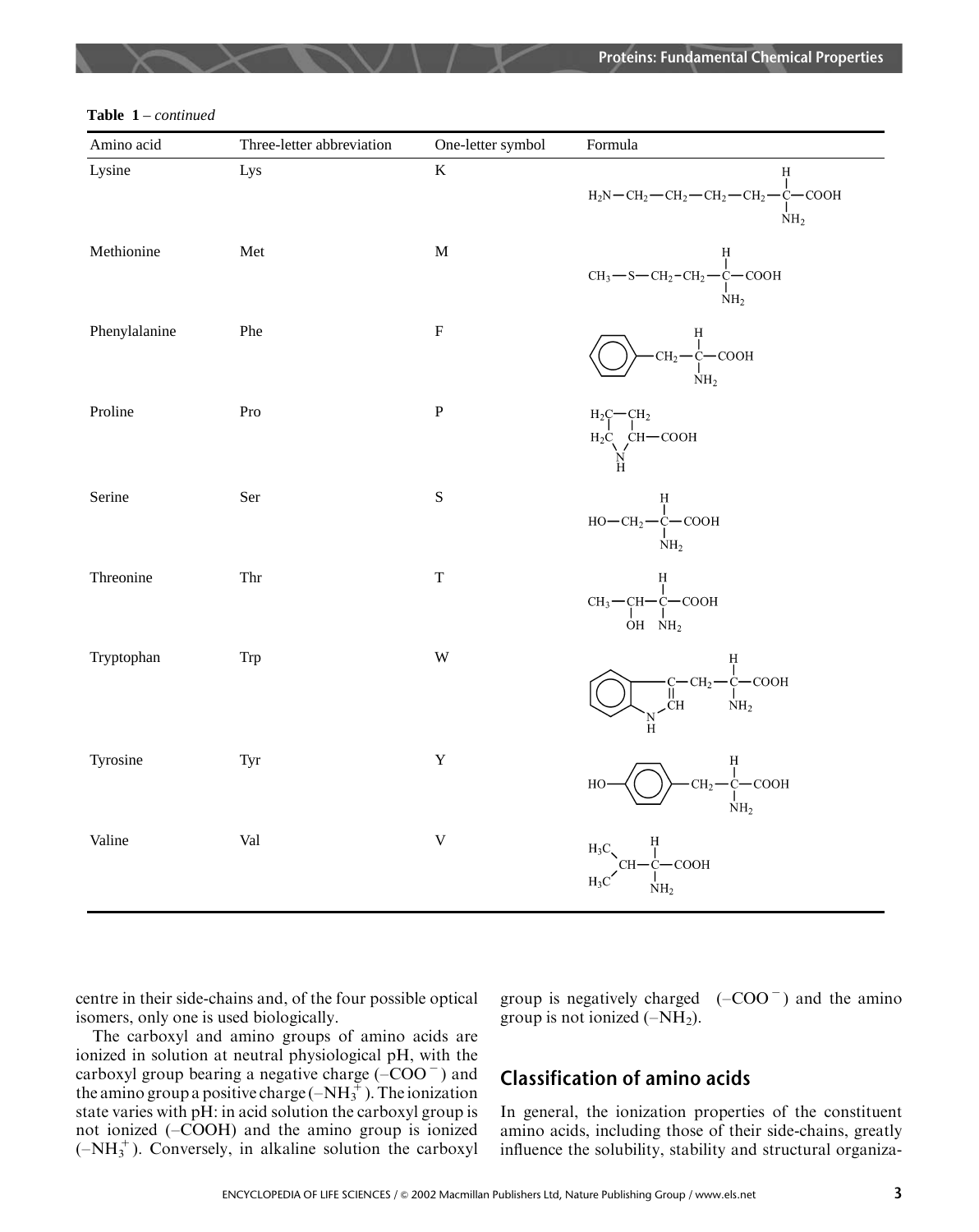| Amino acid    | Three-letter abbreviation | One-letter symbol         | Formula                                                                                                                                                                                                                                                                                                                                                                                                         |
|---------------|---------------------------|---------------------------|-----------------------------------------------------------------------------------------------------------------------------------------------------------------------------------------------------------------------------------------------------------------------------------------------------------------------------------------------------------------------------------------------------------------|
| Lysine        | Lys                       | $\bf K$                   | Н<br>$\rm H_2N-CH_2\hspace{-0.8mm}-\hspace{-0.8mm} CH_2\hspace{-0.8mm}-\hspace{-0.8mm} CH_2\hspace{-0.8mm}-\hspace{-0.8mm} CH_2\hspace{-0.8mm}-\hspace{-0.8mm} CH_2\hspace{-0.8mm}-\hspace{-0.8mm} CH_2\hspace{-0.8mm}-\hspace{-0.8mm} CH_2\hspace{-0.8mm}-\hspace{-0.8mm} CH_2\hspace{-0.8mm}-\hspace{-0.8mm} CH_2\hspace{-0.8mm}-\hspace{-0.8mm} CH_2\hspace{-0.8mm}-\hspace{-0.8mm} CH_2$<br>NH <sub>2</sub> |
| Methionine    | Met                       | M                         | $\text{CH}_3\text{---}\text{S---}\text{CH}_2\text{--}\text{CH}_2\text{---}\text{COOH}$<br>NH <sub>2</sub>                                                                                                                                                                                                                                                                                                       |
| Phenylalanine | Phe                       | $\mathbf F$               | $\bigotimes$ $\bigodot_{\text{CH}_2} \bigodot_{\text{NH}_2}^{\text{H}}$ cooh                                                                                                                                                                                                                                                                                                                                    |
| Proline       | Pro                       | $\mathbf P$               | $H_2C-CH_2$<br>$H_2C$ <sub>C</sub> CH-COOH                                                                                                                                                                                                                                                                                                                                                                      |
| Serine        | Ser                       | $\mathbf S$               | $\text{HO--CH}_2\begin{array}{c}\text{H}\\-\text{C--}\\\text{N--}\\\text{NH}_2\end{array}$                                                                                                                                                                                                                                                                                                                      |
| Threonine     | Thr                       | $\mathbf T$               | $CH_3\begin{array}{c}\nH \\ CH_3\begin{array}{c}\nH \\ -H\n\end{array}\n\end{array}$<br>OH NH <sub>2</sub>                                                                                                                                                                                                                                                                                                      |
| Tryptophan    | <b>Trp</b>                | W                         | $\bigodot_{N} C - CH_2 - C - COOH$                                                                                                                                                                                                                                                                                                                                                                              |
| Tyrosine      | Tyr                       | $\mathbf Y$               | — CH <sub>2</sub> — C— COOH<br>NH <sub>2</sub><br>HO                                                                                                                                                                                                                                                                                                                                                            |
| Valine        | Val                       | $\ensuremath{\mathsf{V}}$ | $\begin{array}{c}\nH_3C \\ H_3C\n\end{array} \xrightarrow[\text{NH}]{H} \begin{array}{c}\nH \\ C \text{H}-\text{COOH} \\ \text{Nm}.\n\end{array}$<br>NH2                                                                                                                                                                                                                                                        |

centre in their side-chains and, of the four possible optical isomers, only one is used biologically.

group is negatively charged  $(-COO<sup>-</sup>)$  and the amino group is not ionized  $(-NH<sub>2</sub>)$ .

The carboxyl and amino groups of amino acids are ionized in solution at neutral physiological pH, with the carboxyl group bearing a negative charge  $(-COO<sup>-</sup>)$  and the amino group a positive charge  $(-NH_3^+)$ . The ionization state varies with pH: in acid solution the carboxyl group is not ionized (–COOH) and the amino group is ionized  $(-NH<sub>3</sub><sup>+</sup>)$ . Conversely, in alkaline solution the carboxyl

## Classification of amino acids

In general, the ionization properties of the constituent amino acids, including those of their side-chains, greatly influence the solubility, stability and structural organiza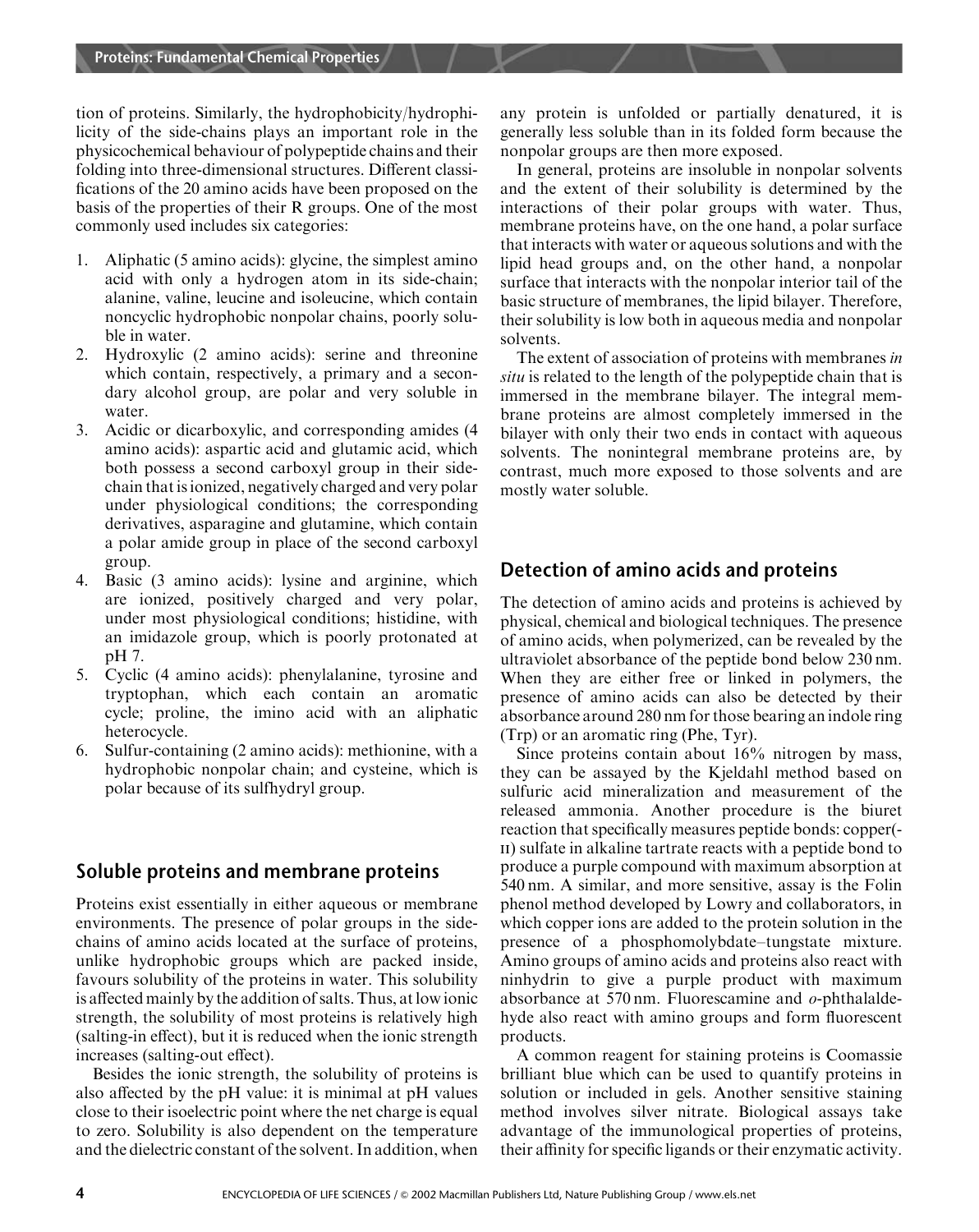tion of proteins. Similarly, the hydrophobicity/hydrophilicity of the side-chains plays an important role in the physicochemical behaviour of polypeptide chains and their folding into three-dimensional structures. Different classifications of the 20 amino acids have been proposed on the basis of the properties of their R groups. One of the most commonly used includes six categories:

- 1. Aliphatic (5 amino acids): glycine, the simplest amino acid with only a hydrogen atom in its side-chain; alanine, valine, leucine and isoleucine, which contain noncyclic hydrophobic nonpolar chains, poorly soluble in water.
- 2. Hydroxylic (2 amino acids): serine and threonine which contain, respectively, a primary and a secondary alcohol group, are polar and very soluble in water.
- 3. Acidic or dicarboxylic, and corresponding amides (4 amino acids): aspartic acid and glutamic acid, which both possess a second carboxyl group in their sidechain that is ionized, negatively charged and very polar under physiological conditions; the corresponding derivatives, asparagine and glutamine, which contain a polar amide group in place of the second carboxyl group.
- 4. Basic (3 amino acids): lysine and arginine, which are ionized, positively charged and very polar, under most physiological conditions; histidine, with an imidazole group, which is poorly protonated at pH 7.
- 5. Cyclic (4 amino acids): phenylalanine, tyrosine and tryptophan, which each contain an aromatic cycle; proline, the imino acid with an aliphatic heterocycle.
- 6. Sulfur-containing (2 amino acids): methionine, with a hydrophobic nonpolar chain; and cysteine, which is polar because of its sulfhydryl group.

## Soluble proteins and membrane proteins

Proteins exist essentially in either aqueous or membrane environments. The presence of polar groups in the sidechains of amino acids located at the surface of proteins, unlike hydrophobic groups which are packed inside, favours solubility of the proteins in water. This solubility is affected mainly by the addition of salts. Thus, at low ionic strength, the solubility of most proteins is relatively high (salting-in effect), but it is reduced when the ionic strength increases (salting-out effect).

Besides the ionic strength, the solubility of proteins is also affected by the pH value: it is minimal at pH values close to their isoelectric point where the net charge is equal to zero. Solubility is also dependent on the temperature and the dielectric constant of the solvent. In addition, when any protein is unfolded or partially denatured, it is generally less soluble than in its folded form because the nonpolar groups are then more exposed.

In general, proteins are insoluble in nonpolar solvents and the extent of their solubility is determined by the interactions of their polar groups with water. Thus, membrane proteins have, on the one hand, a polar surface that interacts with water or aqueous solutions and with the lipid head groups and, on the other hand, a nonpolar surface that interacts with the nonpolar interior tail of the basic structure of membranes, the lipid bilayer. Therefore, their solubility is low both in aqueous media and nonpolar solvents.

The extent of association of proteins with membranes in situ is related to the length of the polypeptide chain that is immersed in the membrane bilayer. The integral membrane proteins are almost completely immersed in the bilayer with only their two ends in contact with aqueous solvents. The nonintegral membrane proteins are, by contrast, much more exposed to those solvents and are mostly water soluble.

## Detection of amino acids and proteins

The detection of amino acids and proteins is achieved by physical, chemical and biological techniques. The presence of amino acids, when polymerized, can be revealed by the ultraviolet absorbance of the peptide bond below 230 nm. When they are either free or linked in polymers, the presence of amino acids can also be detected by their absorbance around 280 nm for those bearing an indole ring (Trp) or an aromatic ring (Phe, Tyr).

Since proteins contain about 16% nitrogen by mass, they can be assayed by the Kjeldahl method based on sulfuric acid mineralization and measurement of the released ammonia. Another procedure is the biuret reaction that specifically measures peptide bonds: copper( ii) sulfate in alkaline tartrate reacts with a peptide bond to produce a purple compound with maximum absorption at 540 nm. A similar, and more sensitive, assay is the Folin phenol method developed by Lowry and collaborators, in which copper ions are added to the protein solution in the presence of a phosphomolybdate–tungstate mixture. Amino groups of amino acids and proteins also react with ninhydrin to give a purple product with maximum absorbance at 570 nm. Fluorescamine and o-phthalaldehyde also react with amino groups and form fluorescent products.

A common reagent for staining proteins is Coomassie brilliant blue which can be used to quantify proteins in solution or included in gels. Another sensitive staining method involves silver nitrate. Biological assays take advantage of the immunological properties of proteins, their affinity for specific ligands or their enzymatic activity.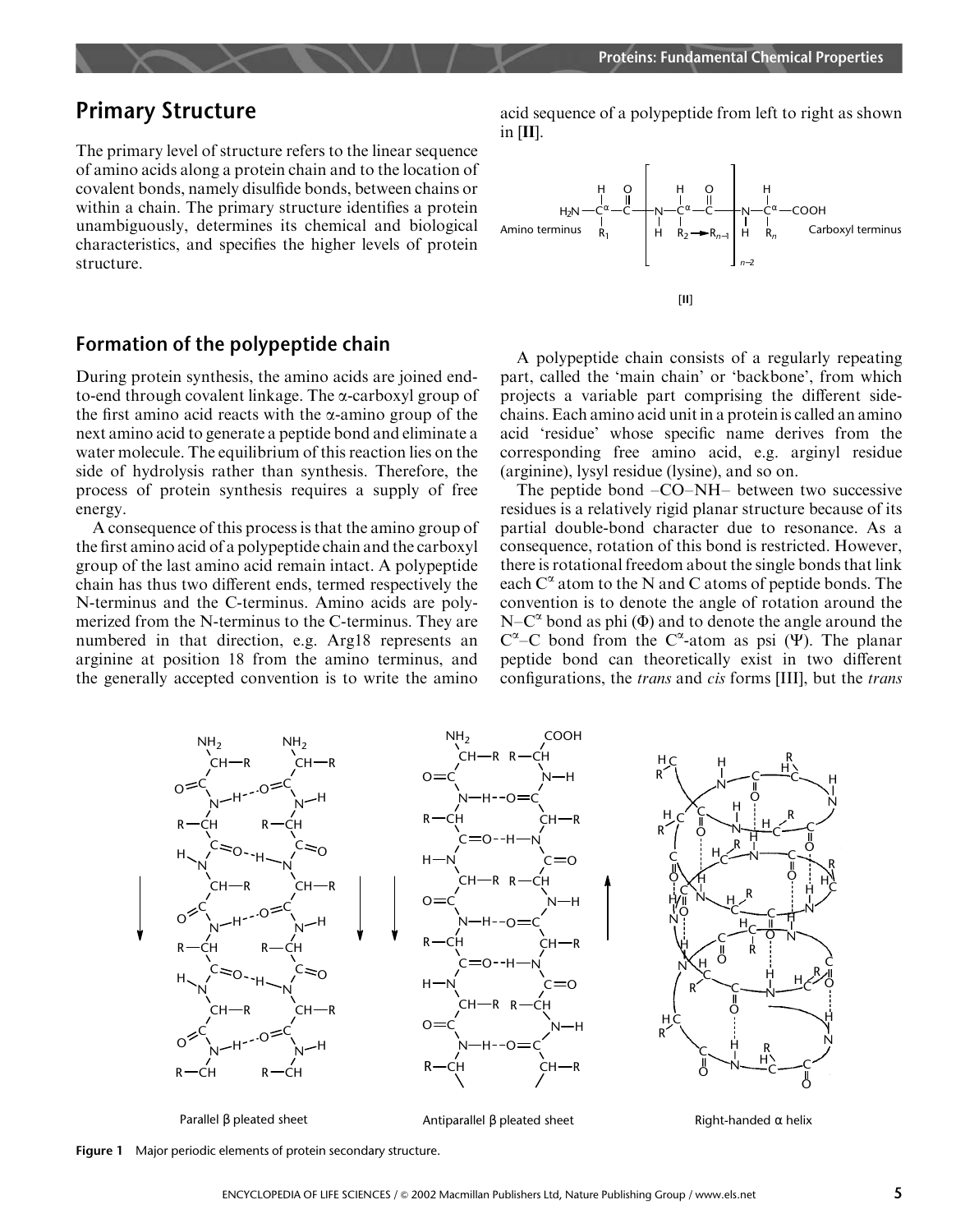## Primary Structure

The primary level of structure refers to the linear sequence of amino acids along a protein chain and to the location of covalent bonds, namely disulfide bonds, between chains or within a chain. The primary structure identifies a protein unambiguously, determines its chemical and biological characteristics, and specifies the higher levels of protein structure.

## Formation of the polypeptide chain

During protein synthesis, the amino acids are joined endto-end through covalent linkage. The a-carboxyl group of the first amino acid reacts with the  $\alpha$ -amino group of the next amino acid to generate a peptide bond and eliminate a water molecule. The equilibrium of this reaction lies on the side of hydrolysis rather than synthesis. Therefore, the process of protein synthesis requires a supply of free energy.

A consequence of this process is that the amino group of the first amino acid of a polypeptide chain and the carboxyl group of the last amino acid remain intact. A polypeptide chain has thus two different ends, termed respectively the N-terminus and the C-terminus. Amino acids are polymerized from the N-terminus to the C-terminus. They are numbered in that direction, e.g. Arg18 represents an arginine at position 18 from the amino terminus, and the generally accepted convention is to write the amino

acid sequence of a polypeptide from left to right as shown in  $[II]$ .



A polypeptide chain consists of a regularly repeating part, called the 'main chain' or 'backbone', from which projects a variable part comprising the different sidechains. Each amino acid unit in a protein is called an amino acid 'residue' whose specific name derives from the corresponding free amino acid, e.g. arginyl residue (arginine), lysyl residue (lysine), and so on.

The peptide bond –CO–NH– between two successive residues is a relatively rigid planar structure because of its partial double-bond character due to resonance. As a consequence, rotation of this bond is restricted. However, there is rotational freedom about the single bonds that link each  $C^{\alpha}$  atom to the N and C atoms of peptide bonds. The convention is to denote the angle of rotation around the  $N-C^{\alpha}$  bond as phi ( $\Phi$ ) and to denote the angle around the  $C^{\alpha}-C$  bond from the  $C^{\alpha}$ -atom as psi ( $\Psi$ ). The planar peptide bond can theoretically exist in two different configurations, the trans and cis forms [III], but the trans



Parallel β pleated sheet  $\Box$ Antiparallel β pleated sheet Right-handed α helix

Figure 1 Major periodic elements of protein secondary structure.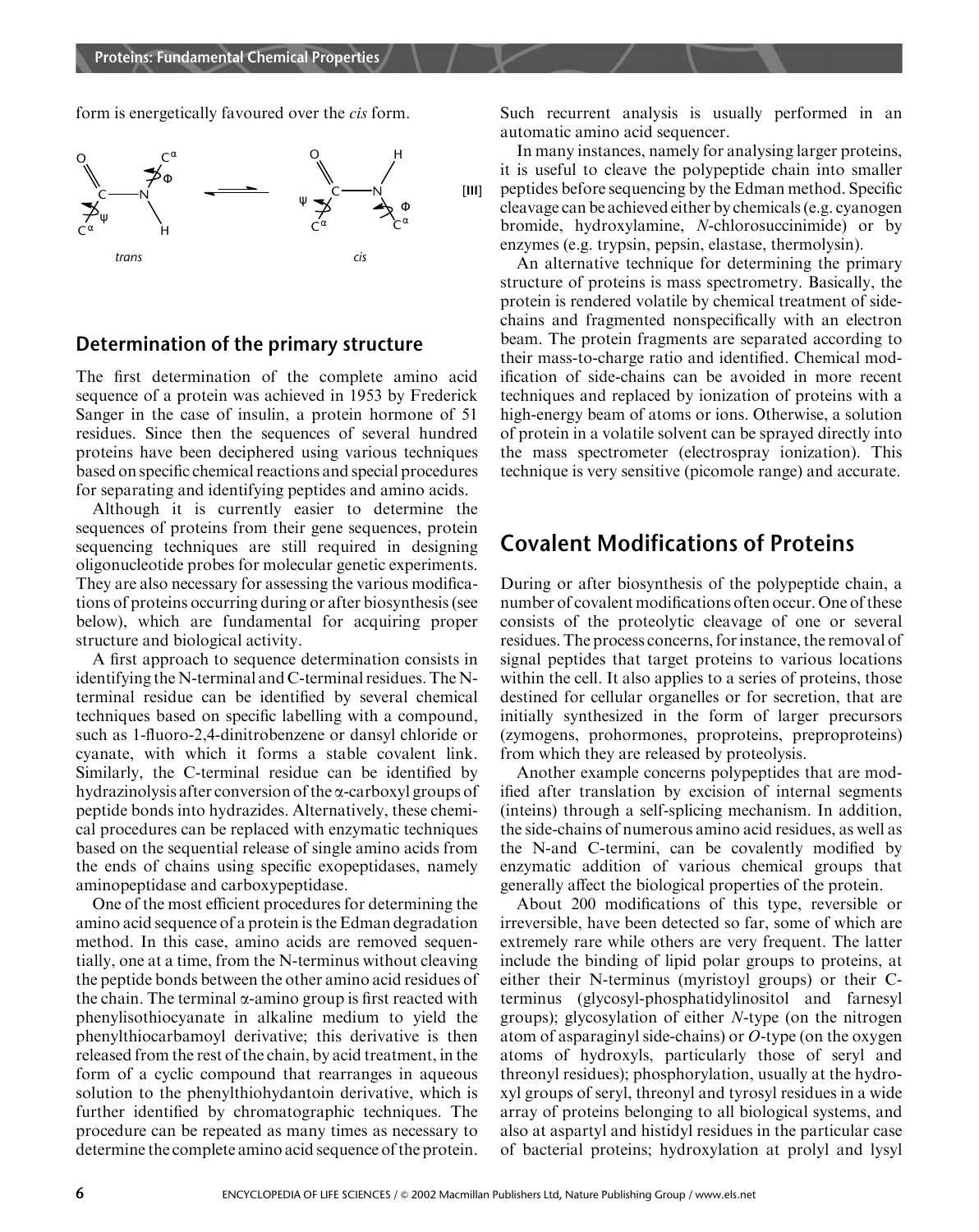form is energetically favoured over the *cis* form.



#### Determination of the primary structure

The first determination of the complete amino acid sequence of a protein was achieved in 1953 by Frederick Sanger in the case of insulin, a protein hormone of 51 residues. Since then the sequences of several hundred proteins have been deciphered using various techniques based on specific chemical reactions and special procedures for separating and identifying peptides and amino acids.

Although it is currently easier to determine the sequences of proteins from their gene sequences, protein sequencing techniques are still required in designing oligonucleotide probes for molecular genetic experiments. They are also necessary for assessing the various modifications of proteins occurring during or after biosynthesis (see below), which are fundamental for acquiring proper structure and biological activity.

A first approach to sequence determination consists in identifying the N-terminal and C-terminal residues. The Nterminal residue can be identified by several chemical techniques based on specific labelling with a compound, such as 1-fluoro-2,4-dinitrobenzene or dansyl chloride or cyanate, with which it forms a stable covalent link. Similarly, the C-terminal residue can be identified by hydrazinolysis after conversion of the  $\alpha$ -carboxyl groups of peptide bonds into hydrazides. Alternatively, these chemical procedures can be replaced with enzymatic techniques based on the sequential release of single amino acids from the ends of chains using specific exopeptidases, namely aminopeptidase and carboxypeptidase.

One of the most efficient procedures for determining the amino acid sequence of a protein is the Edman degradation method. In this case, amino acids are removed sequentially, one at a time, from the N-terminus without cleaving the peptide bonds between the other amino acid residues of the chain. The terminal  $\alpha$ -amino group is first reacted with phenylisothiocyanate in alkaline medium to yield the phenylthiocarbamoyl derivative; this derivative is then released from the rest of the chain, by acid treatment, in the form of a cyclic compound that rearranges in aqueous solution to the phenylthiohydantoin derivative, which is further identified by chromatographic techniques. The procedure can be repeated as many times as necessary to determine the complete amino acid sequence of the protein.

Such recurrent analysis is usually performed in an automatic amino acid sequencer.

In many instances, namely for analysing larger proteins, it is useful to cleave the polypeptide chain into smaller peptides before sequencing by the Edman method. Specific cleavage can be achieved either by chemicals (e.g. cyanogen bromide, hydroxylamine, N-chlorosuccinimide) or by enzymes (e.g. trypsin, pepsin, elastase, thermolysin).

An alternative technique for determining the primary structure of proteins is mass spectrometry. Basically, the protein is rendered volatile by chemical treatment of sidechains and fragmented nonspecifically with an electron beam. The protein fragments are separated according to their mass-to-charge ratio and identified. Chemical modification of side-chains can be avoided in more recent techniques and replaced by ionization of proteins with a high-energy beam of atoms or ions. Otherwise, a solution of protein in a volatile solvent can be sprayed directly into the mass spectrometer (electrospray ionization). This technique is very sensitive (picomole range) and accurate.

# Covalent Modifications of Proteins

During or after biosynthesis of the polypeptide chain, a number of covalent modifications often occur. One of these consists of the proteolytic cleavage of one or several residues. The process concerns, for instance, the removal of signal peptides that target proteins to various locations within the cell. It also applies to a series of proteins, those destined for cellular organelles or for secretion, that are initially synthesized in the form of larger precursors (zymogens, prohormones, proproteins, preproproteins) from which they are released by proteolysis.

Another example concerns polypeptides that are modified after translation by excision of internal segments (inteins) through a self-splicing mechanism. In addition, the side-chains of numerous amino acid residues, as well as the N-and C-termini, can be covalently modified by enzymatic addition of various chemical groups that generally affect the biological properties of the protein.

About 200 modifications of this type, reversible or irreversible, have been detected so far, some of which are extremely rare while others are very frequent. The latter include the binding of lipid polar groups to proteins, at either their N-terminus (myristoyl groups) or their Cterminus (glycosyl-phosphatidylinositol and farnesyl groups); glycosylation of either N-type (on the nitrogen atom of asparaginyl side-chains) or  $O$ -type (on the oxygen atoms of hydroxyls, particularly those of seryl and threonyl residues); phosphorylation, usually at the hydroxyl groups of seryl, threonyl and tyrosyl residues in a wide array of proteins belonging to all biological systems, and also at aspartyl and histidyl residues in the particular case of bacterial proteins; hydroxylation at prolyl and lysyl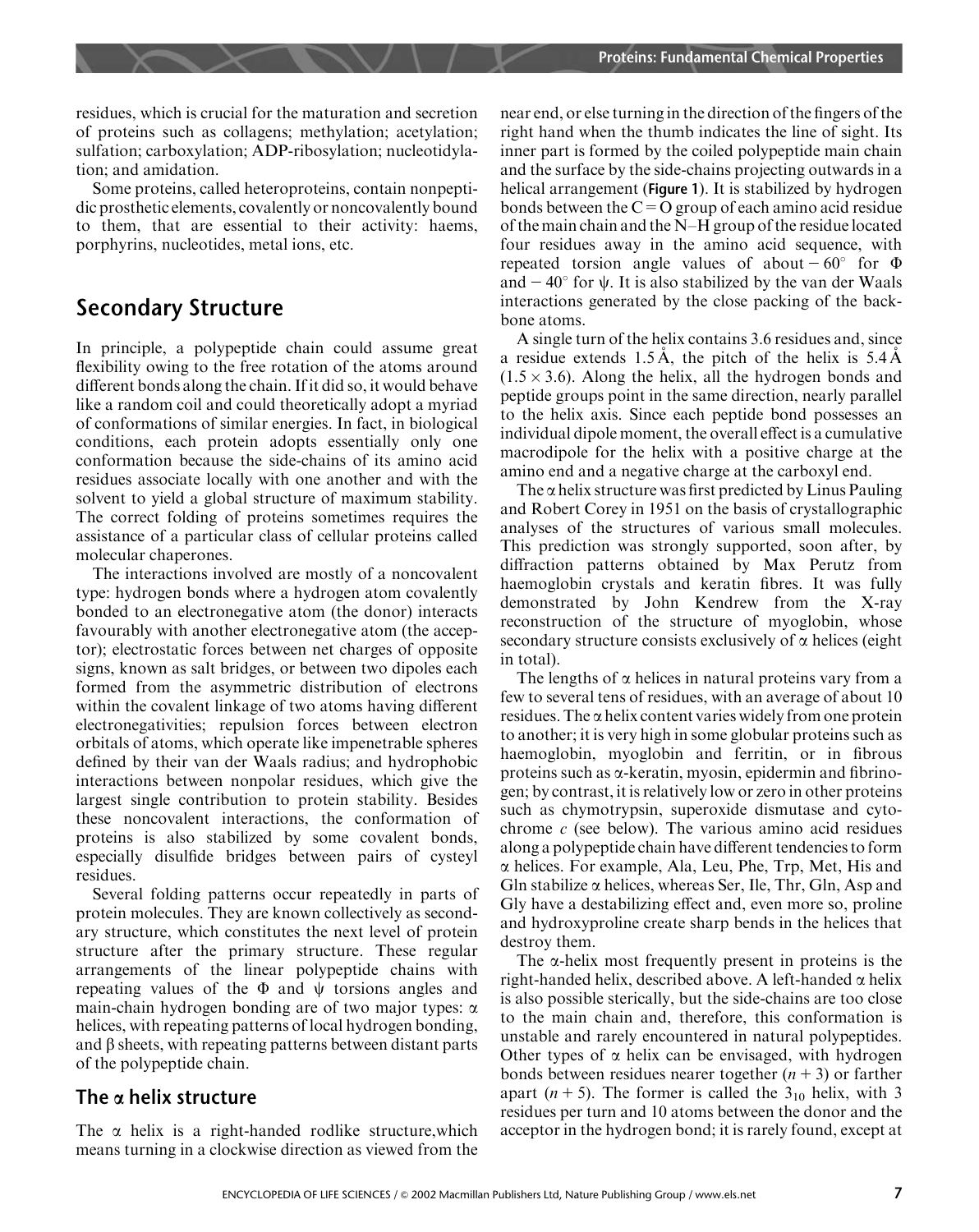residues, which is crucial for the maturation and secretion of proteins such as collagens; methylation; acetylation; sulfation; carboxylation; ADP-ribosylation; nucleotidylation; and amidation.

Some proteins, called heteroproteins, contain nonpeptidic prosthetic elements, covalently or noncovalently bound to them, that are essential to their activity: haems, porphyrins, nucleotides, metal ions, etc.

# Secondary Structure

In principle, a polypeptide chain could assume great flexibility owing to the free rotation of the atoms around different bonds along the chain. If it did so, it would behave like a random coil and could theoretically adopt a myriad of conformations of similar energies. In fact, in biological conditions, each protein adopts essentially only one conformation because the side-chains of its amino acid residues associate locally with one another and with the solvent to yield a global structure of maximum stability. The correct folding of proteins sometimes requires the assistance of a particular class of cellular proteins called molecular chaperones.

The interactions involved are mostly of a noncovalent type: hydrogen bonds where a hydrogen atom covalently bonded to an electronegative atom (the donor) interacts favourably with another electronegative atom (the acceptor); electrostatic forces between net charges of opposite signs, known as salt bridges, or between two dipoles each formed from the asymmetric distribution of electrons within the covalent linkage of two atoms having different electronegativities; repulsion forces between electron orbitals of atoms, which operate like impenetrable spheres defined by their van der Waals radius; and hydrophobic interactions between nonpolar residues, which give the largest single contribution to protein stability. Besides these noncovalent interactions, the conformation of proteins is also stabilized by some covalent bonds, especially disulfide bridges between pairs of cysteyl residues.

Several folding patterns occur repeatedly in parts of protein molecules. They are known collectively as secondary structure, which constitutes the next level of protein structure after the primary structure. These regular arrangements of the linear polypeptide chains with repeating values of the  $\Phi$  and  $\psi$  torsions angles and main-chain hydrogen bonding are of two major types:  $\alpha$ helices, with repeating patterns of local hydrogen bonding, and  $\beta$  sheets, with repeating patterns between distant parts of the polypeptide chain.

#### The  $\alpha$  helix structure

The  $\alpha$  helix is a right-handed rodlike structure, which means turning in a clockwise direction as viewed from the near end, or else turning in the direction of the fingers of the right hand when the thumb indicates the line of sight. Its inner part is formed by the coiled polypeptide main chain and the surface by the side-chains projecting outwards in a helical arrangement (**Figure 1**). It is stabilized by hydrogen bonds between the  $C = O$  group of each amino acid residue of the main chain and the N–H group of the residue located four residues away in the amino acid sequence, with repeated torsion angle values of about  $-60^{\circ}$  for  $\Phi$ and  $-40^{\circ}$  for  $\psi$ . It is also stabilized by the van der Waals interactions generated by the close packing of the backbone atoms.

A single turn of the helix contains 3.6 residues and, since a residue extends 1.5  $\AA$ , the pitch of the helix is 5.4  $\AA$  $(1.5 \times 3.6)$ . Along the helix, all the hydrogen bonds and peptide groups point in the same direction, nearly parallel to the helix axis. Since each peptide bond possesses an individual dipole moment, the overall effect is a cumulative macrodipole for the helix with a positive charge at the amino end and a negative charge at the carboxyl end.

The  $\alpha$  helix structure was first predicted by Linus Pauling and Robert Corey in 1951 on the basis of crystallographic analyses of the structures of various small molecules. This prediction was strongly supported, soon after, by diffraction patterns obtained by Max Perutz from haemoglobin crystals and keratin fibres. It was fully demonstrated by John Kendrew from the X-ray reconstruction of the structure of myoglobin, whose secondary structure consists exclusively of  $\alpha$  helices (eight in total).

The lengths of  $\alpha$  helices in natural proteins vary from a few to several tens of residues, with an average of about 10 residues. The  $\alpha$  helix content varies widely from one protein to another; it is very high in some globular proteins such as haemoglobin, myoglobin and ferritin, or in fibrous proteins such as  $\alpha$ -keratin, myosin, epidermin and fibrinogen; by contrast, it is relatively low or zero in other proteins such as chymotrypsin, superoxide dismutase and cytochrome c (see below). The various amino acid residues along a polypeptide chain have different tendencies to form a helices. For example, Ala, Leu, Phe, Trp, Met, His and Gln stabilize  $\alpha$  helices, whereas Ser, Ile, Thr, Gln, Asp and Gly have a destabilizing effect and, even more so, proline and hydroxyproline create sharp bends in the helices that destroy them.

The  $\alpha$ -helix most frequently present in proteins is the right-handed helix, described above. A left-handed  $\alpha$  helix is also possible sterically, but the side-chains are too close to the main chain and, therefore, this conformation is unstable and rarely encountered in natural polypeptides. Other types of  $\alpha$  helix can be envisaged, with hydrogen bonds between residues nearer together  $(n + 3)$  or farther apart  $(n + 5)$ . The former is called the 3<sub>10</sub> helix, with 3 residues per turn and 10 atoms between the donor and the acceptor in the hydrogen bond; it is rarely found, except at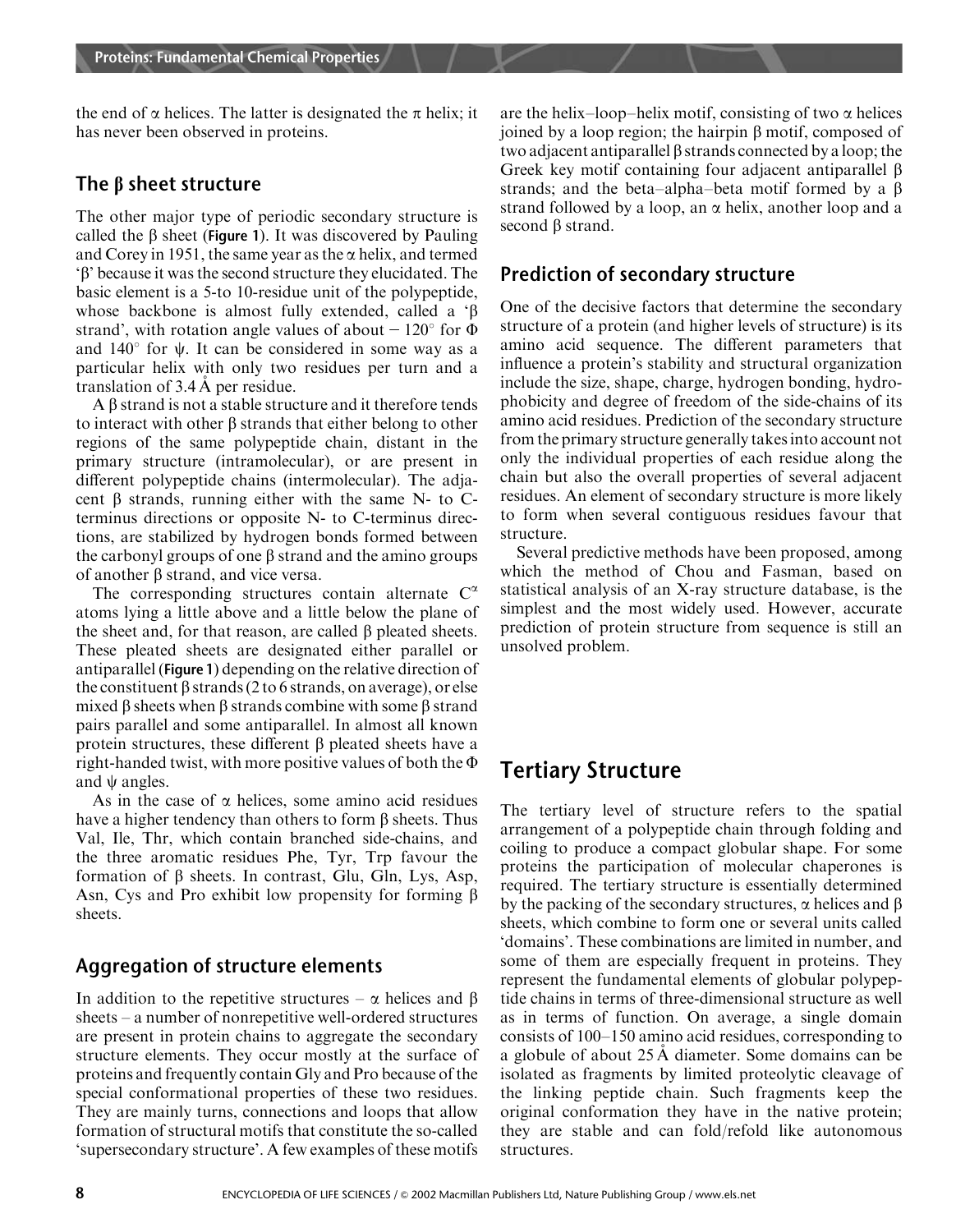the end of  $\alpha$  helices. The latter is designated the  $\pi$  helix; it has never been observed in proteins.

## The  $\beta$  sheet structure

The other major type of periodic secondary structure is called the  $\beta$  sheet (Figure 1). It was discovered by Pauling and Corey in 1951, the same year as the  $\alpha$  helix, and termed 'b' because it was the second structure they elucidated. The basic element is a 5-to 10-residue unit of the polypeptide, whose backbone is almost fully extended, called a ' $\beta$ strand', with rotation angle values of about  $-120^{\circ}$  for  $\Phi$ and  $140^{\circ}$  for  $\psi$ . It can be considered in some way as a particular helix with only two residues per turn and a translation of  $3.4 \text{ Å}$  per residue.

A  $\beta$  strand is not a stable structure and it therefore tends to interact with other  $\beta$  strands that either belong to other regions of the same polypeptide chain, distant in the primary structure (intramolecular), or are present in different polypeptide chains (intermolecular). The adjacent  $\beta$  strands, running either with the same N- to Cterminus directions or opposite N- to C-terminus directions, are stabilized by hydrogen bonds formed between the carbonyl groups of one  $\beta$  strand and the amino groups of another  $\beta$  strand, and vice versa.

The corresponding structures contain alternate  $C^{\alpha}$ atoms lying a little above and a little below the plane of the sheet and, for that reason, are called  $\beta$  pleated sheets. These pleated sheets are designated either parallel or antiparallel (Figure 1) depending on the relative direction of the constituent  $\beta$  strands (2 to 6 strands, on average), or else mixed  $\beta$  sheets when  $\beta$  strands combine with some  $\beta$  strand pairs parallel and some antiparallel. In almost all known protein structures, these different  $\beta$  pleated sheets have a right-handed twist, with more positive values of both the  $\Phi$ and  $\psi$  angles.

As in the case of  $\alpha$  helices, some amino acid residues have a higher tendency than others to form  $\beta$  sheets. Thus Val, Ile, Thr, which contain branched side-chains, and the three aromatic residues Phe, Tyr, Trp favour the formation of  $\beta$  sheets. In contrast, Glu, Gln, Lys, Asp, Asn, Cys and Pro exhibit low propensity for forming  $\beta$ sheets.

## Aggregation of structure elements

In addition to the repetitive structures –  $\alpha$  helices and  $\beta$ sheets – a number of nonrepetitive well-ordered structures are present in protein chains to aggregate the secondary structure elements. They occur mostly at the surface of proteins and frequently contain Gly and Pro because of the special conformational properties of these two residues. They are mainly turns, connections and loops that allow formation of structural motifs that constitute the so-called 'supersecondary structure'. A few examples of these motifs are the helix–loop–helix motif, consisting of two  $\alpha$  helices joined by a loop region; the hairpin  $\beta$  motif, composed of two adjacent antiparallel  $\beta$  strands connected by a loop; the Greek key motif containing four adjacent antiparallel  $\beta$ strands; and the beta–alpha–beta motif formed by a  $\beta$ strand followed by a loop, an  $\alpha$  helix, another loop and a second  $\beta$  strand.

## Prediction of secondary structure

One of the decisive factors that determine the secondary structure of a protein (and higher levels of structure) is its amino acid sequence. The different parameters that influence a protein's stability and structural organization include the size, shape, charge, hydrogen bonding, hydrophobicity and degree of freedom of the side-chains of its amino acid residues. Prediction of the secondary structure from the primary structure generally takes into account not only the individual properties of each residue along the chain but also the overall properties of several adjacent residues. An element of secondary structure is more likely to form when several contiguous residues favour that structure.

Several predictive methods have been proposed, among which the method of Chou and Fasman, based on statistical analysis of an X-ray structure database, is the simplest and the most widely used. However, accurate prediction of protein structure from sequence is still an unsolved problem.

# Tertiary Structure

The tertiary level of structure refers to the spatial arrangement of a polypeptide chain through folding and coiling to produce a compact globular shape. For some proteins the participation of molecular chaperones is required. The tertiary structure is essentially determined by the packing of the secondary structures,  $\alpha$  helices and  $\beta$ sheets, which combine to form one or several units called 'domains'. These combinations are limited in number, and some of them are especially frequent in proteins. They represent the fundamental elements of globular polypeptide chains in terms of three-dimensional structure as well as in terms of function. On average, a single domain consists of 100–150 amino acid residues, corresponding to a globule of about 25 Å diameter. Some domains can be isolated as fragments by limited proteolytic cleavage of the linking peptide chain. Such fragments keep the original conformation they have in the native protein; they are stable and can fold/refold like autonomous structures.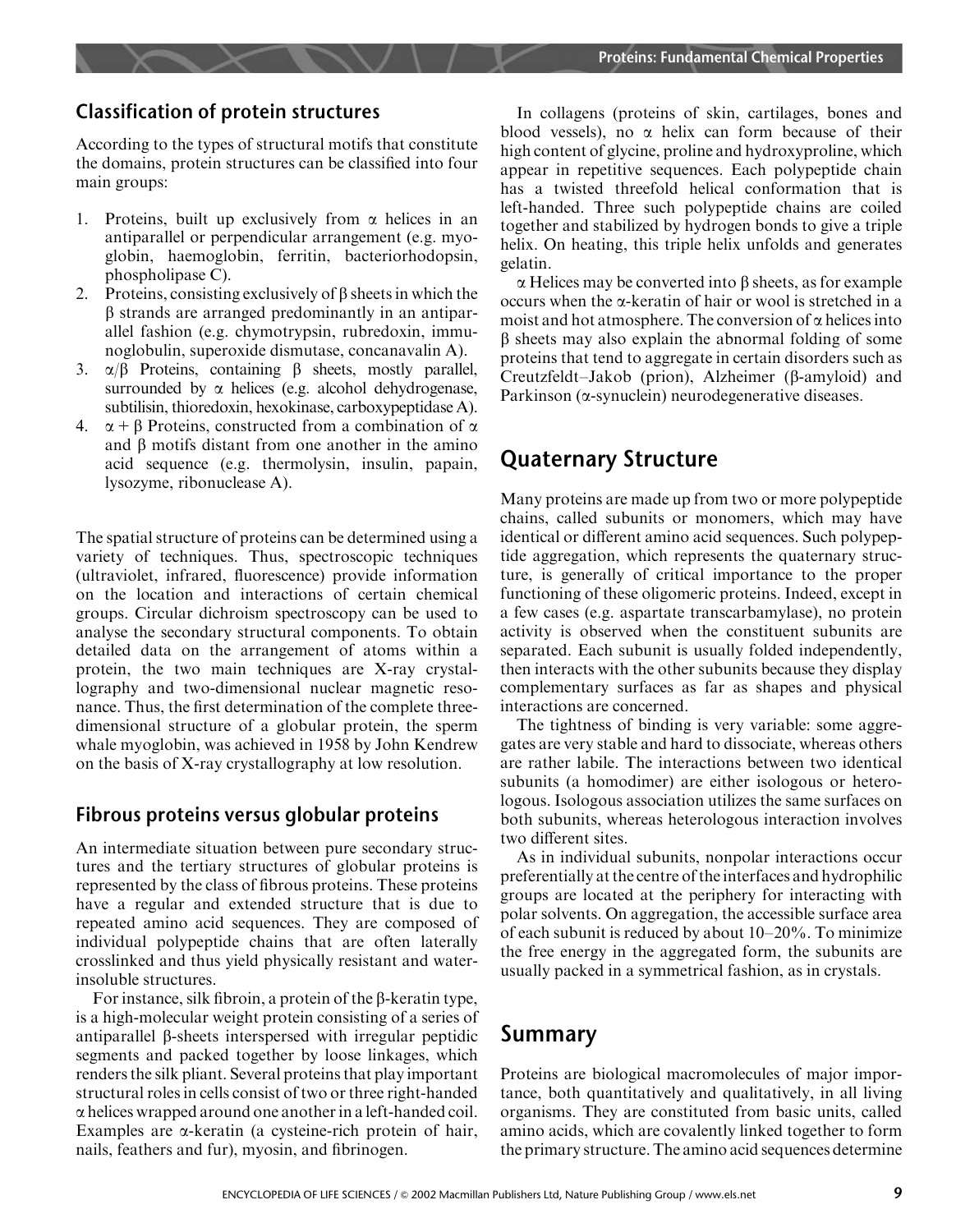## Classification of protein structures

According to the types of structural motifs that constitute the domains, protein structures can be classified into four main groups:

- 1. Proteins, built up exclusively from  $\alpha$  helices in an antiparallel or perpendicular arrangement (e.g. myoglobin, haemoglobin, ferritin, bacteriorhodopsin, phospholipase C).
- 2. Proteins, consisting exclusively of  $\beta$  sheets in which the  $\beta$  strands are arranged predominantly in an antiparallel fashion (e.g. chymotrypsin, rubredoxin, immunoglobulin, superoxide dismutase, concanavalin A).
- 3.  $\alpha/\beta$  Proteins, containing  $\beta$  sheets, mostly parallel, surrounded by  $\alpha$  helices (e.g. alcohol dehydrogenase, subtilisin, thioredoxin, hexokinase, carboxypeptidase A).
- 4.  $\alpha + \beta$  Proteins, constructed from a combination of  $\alpha$ and  $\beta$  motifs distant from one another in the amino acid sequence (e.g. thermolysin, insulin, papain, lysozyme, ribonuclease A).

The spatial structure of proteins can be determined using a variety of techniques. Thus, spectroscopic techniques (ultraviolet, infrared, fluorescence) provide information on the location and interactions of certain chemical groups. Circular dichroism spectroscopy can be used to analyse the secondary structural components. To obtain detailed data on the arrangement of atoms within a protein, the two main techniques are X-ray crystallography and two-dimensional nuclear magnetic resonance. Thus, the first determination of the complete threedimensional structure of a globular protein, the sperm whale myoglobin, was achieved in 1958 by John Kendrew on the basis of X-ray crystallography at low resolution.

#### Fibrous proteins versus globular proteins

An intermediate situation between pure secondary structures and the tertiary structures of globular proteins is represented by the class of fibrous proteins. These proteins have a regular and extended structure that is due to repeated amino acid sequences. They are composed of individual polypeptide chains that are often laterally crosslinked and thus yield physically resistant and waterinsoluble structures.

For instance, silk fibroin, a protein of the  $\beta$ -keratin type, is a high-molecular weight protein consisting of a series of antiparallel  $\beta$ -sheets interspersed with irregular peptidic segments and packed together by loose linkages, which renders the silk pliant. Several proteins that play important structural roles in cells consist of two or three right-handed a helices wrapped around one another in a left-handed coil. Examples are  $\alpha$ -keratin (a cysteine-rich protein of hair, nails, feathers and fur), myosin, and fibrinogen.

In collagens (proteins of skin, cartilages, bones and blood vessels), no  $\alpha$  helix can form because of their high content of glycine, proline and hydroxyproline, which appear in repetitive sequences. Each polypeptide chain has a twisted threefold helical conformation that is left-handed. Three such polypeptide chains are coiled together and stabilized by hydrogen bonds to give a triple helix. On heating, this triple helix unfolds and generates gelatin.

 $\alpha$  Helices may be converted into  $\beta$  sheets, as for example occurs when the  $\alpha$ -keratin of hair or wool is stretched in a moist and hot atmosphere. The conversion of  $\alpha$  helices into  $\beta$  sheets may also explain the abnormal folding of some proteins that tend to aggregate in certain disorders such as Creutzfeldt–Jakob (prion), Alzheimer ( $\beta$ -amyloid) and Parkinson (a-synuclein) neurodegenerative diseases.

# Quaternary Structure

Many proteins are made up from two or more polypeptide chains, called subunits or monomers, which may have identical or different amino acid sequences. Such polypeptide aggregation, which represents the quaternary structure, is generally of critical importance to the proper functioning of these oligomeric proteins. Indeed, except in a few cases (e.g. aspartate transcarbamylase), no protein activity is observed when the constituent subunits are separated. Each subunit is usually folded independently, then interacts with the other subunits because they display complementary surfaces as far as shapes and physical interactions are concerned.

The tightness of binding is very variable: some aggregates are very stable and hard to dissociate, whereas others are rather labile. The interactions between two identical subunits (a homodimer) are either isologous or heterologous. Isologous association utilizes the same surfaces on both subunits, whereas heterologous interaction involves two different sites.

As in individual subunits, nonpolar interactions occur preferentially at the centre of the interfaces and hydrophilic groups are located at the periphery for interacting with polar solvents. On aggregation, the accessible surface area of each subunit is reduced by about 10–20%. To minimize the free energy in the aggregated form, the subunits are usually packed in a symmetrical fashion, as in crystals.

# Summary

Proteins are biological macromolecules of major importance, both quantitatively and qualitatively, in all living organisms. They are constituted from basic units, called amino acids, which are covalently linked together to form the primary structure. The amino acid sequences determine